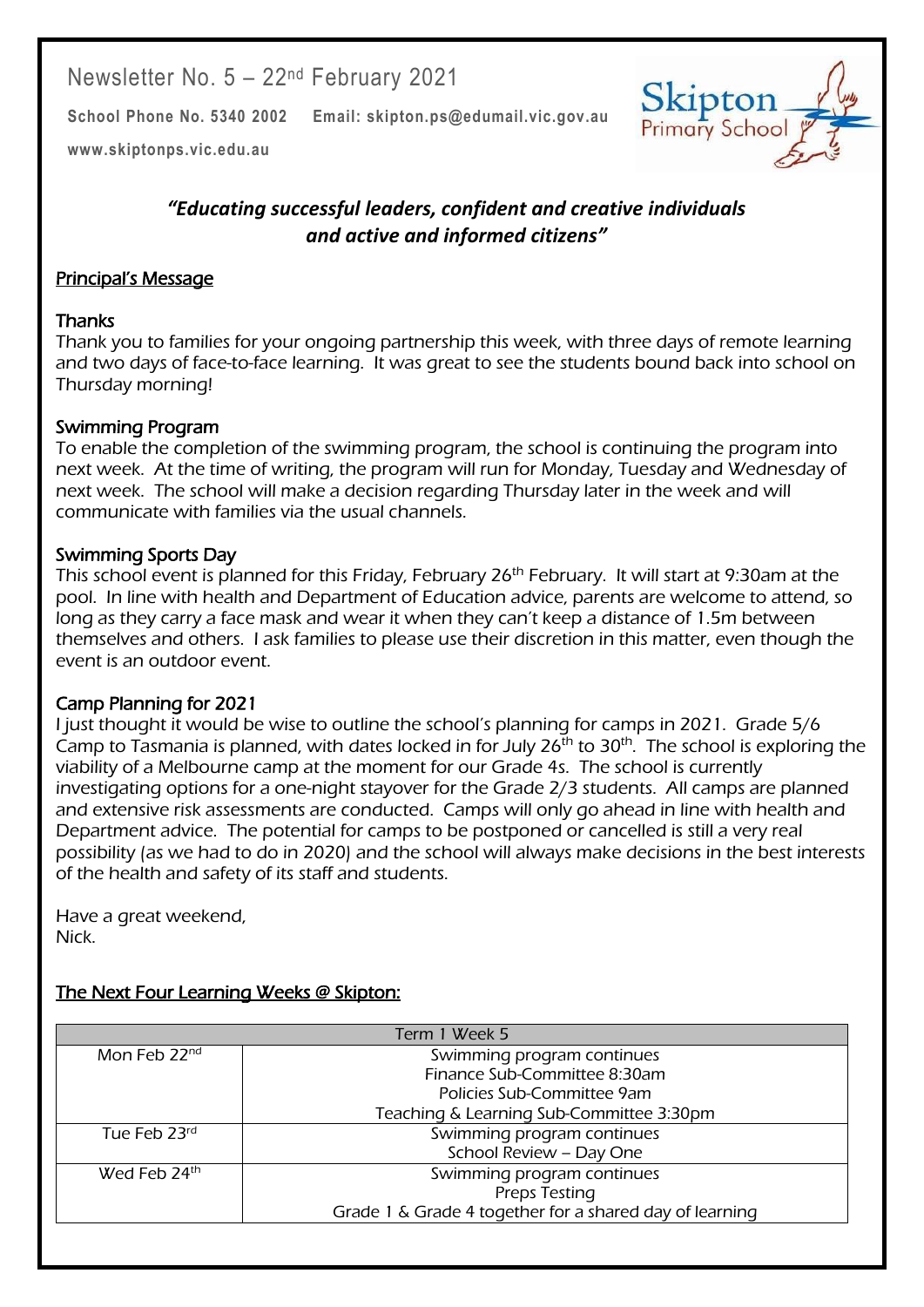Newsletter No. 5 – 22nd February 2021

**School Phone No. 5340 2002 Email: skipton.ps@edumail.vic.gov.au**



Centacare South West

**[www.skiptonps.vic.edu.au](http://www.skiptonps.vic.edu.au/)**

# *"Educating successful leaders, confident and creative individuals and active and informed citizens"*

## Principal's Message

### **Thanks**

Thank you to families for your ongoing partnership this week, with three days of remote learning and two days of face-to-face learning. It was great to see the students bound back into school on Thursday morning!

### Swimming Program

To enable the completion of the swimming program, the school is continuing the program into next week. At the time of writing, the program will run for Monday, Tuesday and Wednesday of next week. The school will make a decision regarding Thursday later in the week and will communicate with families via the usual channels.

### Swimming Sports Day

This school event is planned for this Friday, February 26<sup>th</sup> February. It will start at 9:30am at the pool. In line with health and Department of Education advice, parents are welcome to attend, so long as they carry a face mask and wear it when they can't keep a distance of 1.5m between themselves and others. I ask families to please use their discretion in this matter, even though the event is an outdoor event.

### Camp Planning for 2021

I just thought it would be wise to outline the school's planning for camps in 2021. Grade 5/6 Camp to Tasmania is planned, with dates locked in for July  $26<sup>th</sup>$  to  $30<sup>th</sup>$ . The school is exploring the viability of a Melbourne camp at the moment for our Grade 4s. The school is currently investigating options for a one-night stayover for the Grade 2/3 students. All camps are planned and extensive risk assessments are conducted. Camps will only go ahead in line with health and Department advice. The potential for camps to be postponed or cancelled is still a very real possibility (as we had to do in 2020) and the school will always make decisions in the best interests of the health and safety of its staff and students.

Have a great weekend, Nick.

# The Next Four Learning Weeks @ Skipton:

| Term 1 Week 5            |                                                         |
|--------------------------|---------------------------------------------------------|
| Mon Feb 22 <sup>nd</sup> | Swimming program continues                              |
|                          | Finance Sub-Committee 8:30am                            |
|                          | Policies Sub-Committee 9am                              |
|                          | Teaching & Learning Sub-Committee 3:30pm                |
| Tue Feb 23rd             | Swimming program continues                              |
|                          | School Review - Day One                                 |
| Wed Feb 24th             | Swimming program continues                              |
|                          | Preps Testing                                           |
|                          | Grade 1 & Grade 4 together for a shared day of learning |